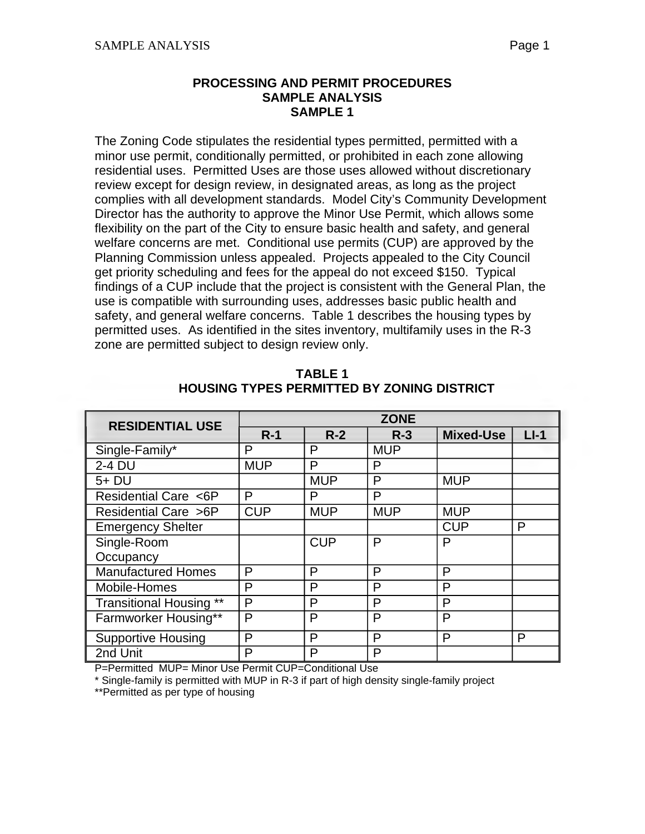## **SAMPLE ANALYSIS SAMPLE 1 PROCESSING AND PERMIT PROCEDURES**

 zone are permitted subject to design review only. The Zoning Code stipulates the residential types permitted, permitted with a minor use permit, conditionally permitted, or prohibited in each zone allowing residential uses. Permitted Uses are those uses allowed without discretionary review except for design review, in designated areas, as long as the project complies with all development standards. Model City's Community Development Director has the authority to approve the Minor Use Permit, which allows some flexibility on the part of the City to ensure basic health and safety, and general welfare concerns are met. Conditional use permits (CUP) are approved by the Planning Commission unless appealed. Projects appealed to the City Council get priority scheduling and fees for the appeal do not exceed \$150. Typical findings of a CUP include that the project is consistent with the General Plan, the use is compatible with surrounding uses, addresses basic public health and safety, and general welfare concerns. Table 1 describes the housing types by permitted uses. As identified in the sites inventory, multifamily uses in the R-3

| <b>RESIDENTIAL USE</b>         | <b>ZONE</b> |            |            |                  |        |  |
|--------------------------------|-------------|------------|------------|------------------|--------|--|
|                                | $R-1$       | $R-2$      | $R-3$      | <b>Mixed-Use</b> | $LI-1$ |  |
| Single-Family*                 | P           | P          | <b>MUP</b> |                  |        |  |
| 2-4 DU                         | <b>MUP</b>  | P          | P          |                  |        |  |
| 5+ DU                          |             | <b>MUP</b> | P          | <b>MUP</b>       |        |  |
| Residential Care <6P           | P           | P          | P          |                  |        |  |
| Residential Care >6P           | <b>CUP</b>  | <b>MUP</b> | <b>MUP</b> | <b>MUP</b>       |        |  |
| <b>Emergency Shelter</b>       |             |            |            | <b>CUP</b>       | P      |  |
| Single-Room                    |             | <b>CUP</b> | P          | P                |        |  |
| Occupancy                      |             |            |            |                  |        |  |
| <b>Manufactured Homes</b>      | P           | P          | P          | P                |        |  |
| Mobile-Homes                   | P           | P          | P          | P                |        |  |
| <b>Transitional Housing **</b> | P           | P          | P          | P                |        |  |
| Farmworker Housing**           | P           | P          | P          | P                |        |  |
| <b>Supportive Housing</b>      | P           | P          | P          | P                | P      |  |
| 2nd Unit                       | P           | P          | P          |                  |        |  |

**TABLE 1 HOUSING TYPES PERMITTED BY ZONING DISTRICT** 

P=Permitted MUP= Minor Use Permit CUP=Conditional Use

\* Single-family is permitted with MUP in R-3 if part of high density single-family project

\*\*Permitted as per type of housing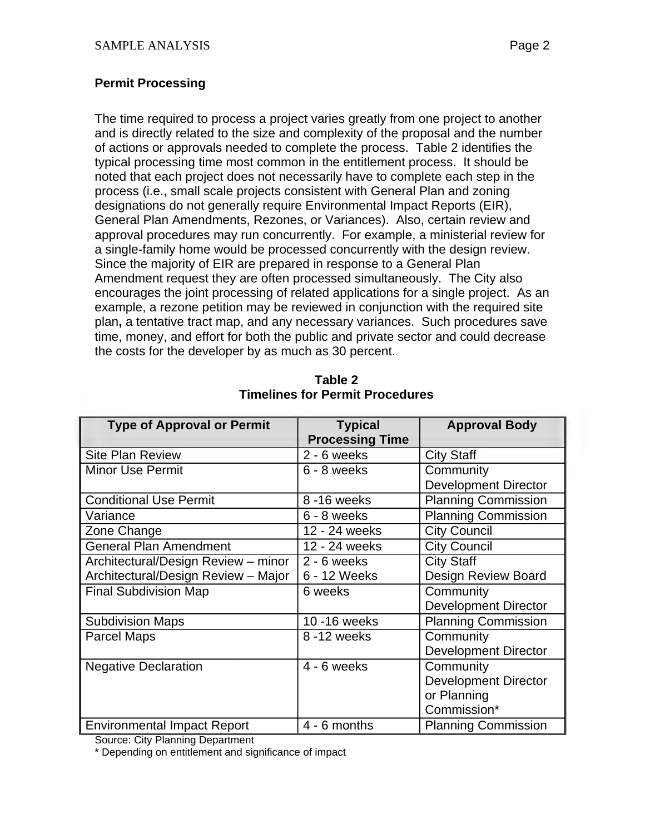## **Permit Processing**

The time required to process a project varies greatly from one project to another and is directly related to the size and complexity of the proposal and the number of actions or approvals needed to complete the process. Table 2 identifies the typical processing time most common in the entitlement process. It should be noted that each project does not necessarily have to complete each step in the process (i.e., small scale projects consistent with General Plan and zoning designations do not generally require Environmental Impact Reports (EIR), General Plan Amendments, Rezones, or Variances). Also, certain review and approval procedures may run concurrently. For example, a ministerial review for a single-family home would be processed concurrently with the design review. Since the majority of EIR are prepared in response to a General Plan Amendment request they are often processed simultaneously. The City also encourages the joint processing of related applications for a single project. As an example, a rezone petition may be reviewed in conjunction with the required site plan**,** a tentative tract map, and any necessary variances. Such procedures save time, money, and effort for both the public and private sector and could decrease the costs for the developer by as much as 30 percent.

| <b>Type of Approval or Permit</b>   | <b>Typical</b>         | <b>Approval Body</b>        |
|-------------------------------------|------------------------|-----------------------------|
|                                     | <b>Processing Time</b> |                             |
| <b>Site Plan Review</b>             | $2 - 6$ weeks          | <b>City Staff</b>           |
| <b>Minor Use Permit</b>             | 6 - 8 weeks            | Community                   |
|                                     |                        | <b>Development Director</b> |
| <b>Conditional Use Permit</b>       | 8 - 16 weeks           | <b>Planning Commission</b>  |
| Variance                            | 6 - 8 weeks            | <b>Planning Commission</b>  |
| Zone Change                         | 12 - 24 weeks          | <b>City Council</b>         |
| <b>General Plan Amendment</b>       | 12 - 24 weeks          | <b>City Council</b>         |
| Architectural/Design Review - minor | $2 - 6$ weeks          | <b>City Staff</b>           |
| Architectural/Design Review - Major | 6 - 12 Weeks           | Design Review Board         |
| <b>Final Subdivision Map</b>        | 6 weeks                | Community                   |
|                                     |                        | <b>Development Director</b> |
| <b>Subdivision Maps</b>             | 10 - 16 weeks          | <b>Planning Commission</b>  |
| <b>Parcel Maps</b>                  | 8-12 weeks             | Community                   |
|                                     |                        | <b>Development Director</b> |
| <b>Negative Declaration</b>         | $4 - 6$ weeks          | Community                   |
|                                     |                        | <b>Development Director</b> |
|                                     |                        | or Planning                 |
|                                     |                        | Commission*                 |
| <b>Environmental Impact Report</b>  | 4 - 6 months           | <b>Planning Commission</b>  |

**Table 2 Timelines for Permit Procedures** 

Source: City Planning Department

\* Depending on entitlement and significance of impact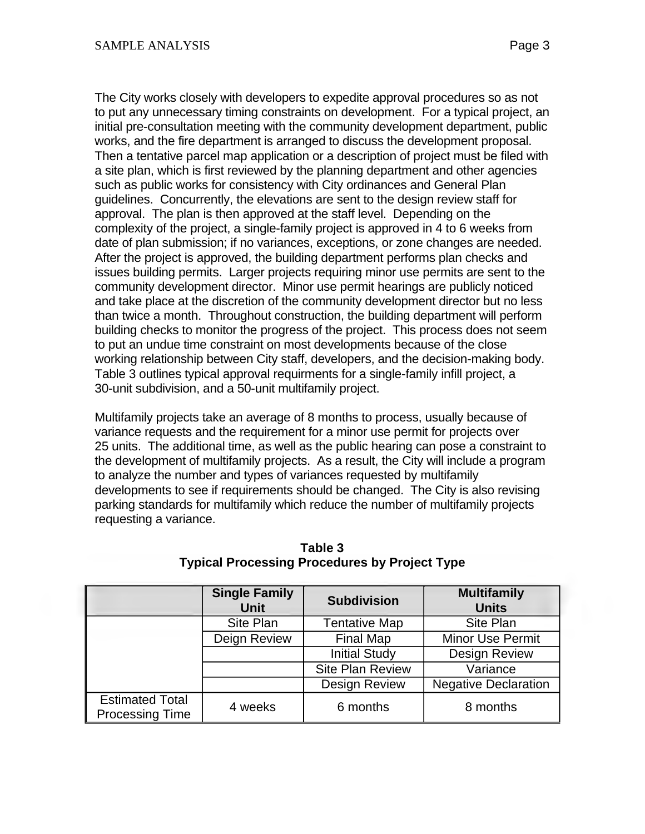works, and the fire department is arranged to discuss the development proposal. The City works closely with developers to expedite approval procedures so as not to put any unnecessary timing constraints on development. For a typical project, an initial pre-consultation meeting with the community development department, public Then a tentative parcel map application or a description of project must be filed with a site plan, which is first reviewed by the planning department and other agencies such as public works for consistency with City ordinances and General Plan guidelines. Concurrently, the elevations are sent to the design review staff for approval. The plan is then approved at the staff level. Depending on the complexity of the project, a single-family project is approved in 4 to 6 weeks from date of plan submission; if no variances, exceptions, or zone changes are needed. After the project is approved, the building department performs plan checks and issues building permits. Larger projects requiring minor use permits are sent to the community development director. Minor use permit hearings are publicly noticed and take place at the discretion of the community development director but no less than twice a month. Throughout construction, the building department will perform building checks to monitor the progress of the project. This process does not seem to put an undue time constraint on most developments because of the close

working relationship between City staff, developers, and the decision-making body. Table 3 outlines typical approval requirments for a single-family infill project, a 30-unit subdivision, and a 50-unit multifamily project.

Multifamily projects take an average of 8 months to process, usually because of variance requests and the requirement for a minor use permit for projects over 25 units. The additional time, as well as the public hearing can pose a constraint to the development of multifamily projects. As a result, the City will include a program to analyze the number and types of variances requested by multifamily developments to see if requirements should be changed. The City is also revising parking standards for multifamily which reduce the number of multifamily projects requesting a variance.

|                                                  | <b>Single Family</b><br><b>Unit</b> | <b>Subdivision</b>      | <b>Multifamily</b><br><b>Units</b> |
|--------------------------------------------------|-------------------------------------|-------------------------|------------------------------------|
|                                                  | Site Plan                           | <b>Tentative Map</b>    | Site Plan                          |
|                                                  | Deign Review                        | <b>Final Map</b>        | <b>Minor Use Permit</b>            |
|                                                  |                                     | <b>Initial Study</b>    | <b>Design Review</b>               |
|                                                  |                                     | <b>Site Plan Review</b> | Variance                           |
|                                                  |                                     | <b>Design Review</b>    | <b>Negative Declaration</b>        |
| <b>Estimated Total</b><br><b>Processing Time</b> | 4 weeks                             | 6 months                | 8 months                           |

**Table 3 Typical Processing Procedures by Project Type**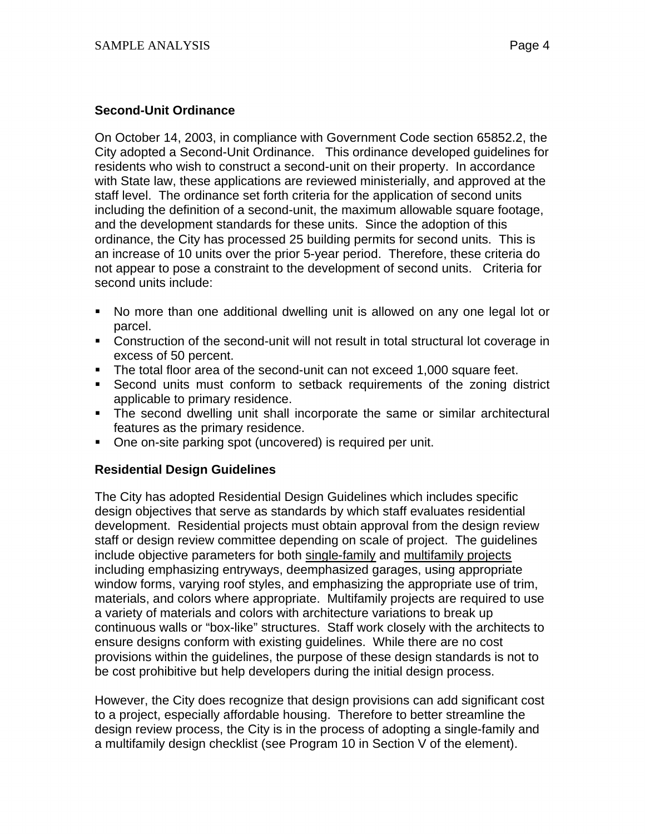## **Second-Unit Ordinance**

On October 14, 2003, in compliance with Government Code section 65852.2, the City adopted a Second-Unit Ordinance. This ordinance developed guidelines for residents who wish to construct a second-unit on their property. In accordance with State law, these applications are reviewed ministerially, and approved at the staff level. The ordinance set forth criteria for the application of second units including the definition of a second-unit, the maximum allowable square footage, and the development standards for these units. Since the adoption of this ordinance, the City has processed 25 building permits for second units. This is an increase of 10 units over the prior 5-year period. Therefore, these criteria do not appear to pose a constraint to the development of second units. Criteria for second units include:

- No more than one additional dwelling unit is allowed on any one legal lot or parcel.
- Construction of the second-unit will not result in total structural lot coverage in excess of 50 percent.
- The total floor area of the second-unit can not exceed 1,000 square feet.
- Second units must conform to setback requirements of the zoning district applicable to primary residence.
- The second dwelling unit shall incorporate the same or similar architectural features as the primary residence.
- One on-site parking spot (uncovered) is required per unit.

## **Residential Design Guidelines**

The City has adopted Residential Design Guidelines which includes specific design objectives that serve as standards by which staff evaluates residential development. Residential projects must obtain approval from the design review staff or design review committee depending on scale of project. The guidelines include objective parameters for both single-family and multifamily projects including emphasizing entryways, deemphasized garages, using appropriate window forms, varying roof styles, and emphasizing the appropriate use of trim, materials, and colors where appropriate. Multifamily projects are required to use a variety of materials and colors with architecture variations to break up continuous walls or "box-like" structures. Staff work closely with the architects to ensure designs conform with existing guidelines. While there are no cost provisions within the guidelines, the purpose of these design standards is not to be cost prohibitive but help developers during the initial design process.

However, the City does recognize that design provisions can add significant cost to a project, especially affordable housing. Therefore to better streamline the design review process, the City is in the process of adopting a single-family and a multifamily design checklist (see Program 10 in Section V of the element).